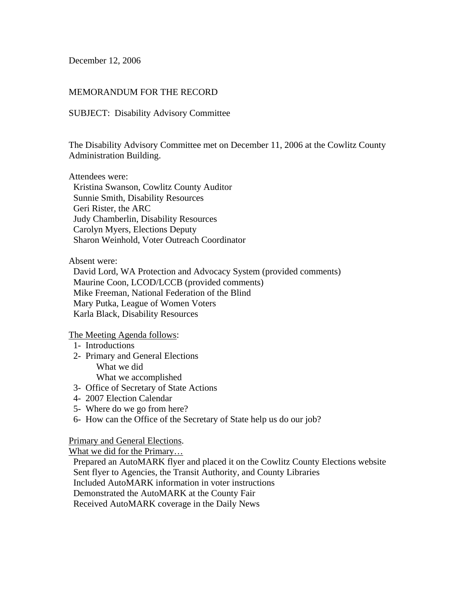December 12, 2006

## MEMORANDUM FOR THE RECORD

### SUBJECT: Disability Advisory Committee

The Disability Advisory Committee met on December 11, 2006 at the Cowlitz County Administration Building.

Attendees were:

 Kristina Swanson, Cowlitz County Auditor Sunnie Smith, Disability Resources Geri Rister, the ARC Judy Chamberlin, Disability Resources Carolyn Myers, Elections Deputy Sharon Weinhold, Voter Outreach Coordinator

Absent were:

 David Lord, WA Protection and Advocacy System (provided comments) Maurine Coon, LCOD/LCCB (provided comments) Mike Freeman, National Federation of the Blind Mary Putka, League of Women Voters Karla Black, Disability Resources

The Meeting Agenda follows:

- 1- Introductions
- 2- Primary and General Elections What we did What we accomplished
- 3- Office of Secretary of State Actions
- 4- 2007 Election Calendar
- 5- Where do we go from here?
- 6- How can the Office of the Secretary of State help us do our job?

Primary and General Elections.

What we did for the Primary…

 Prepared an AutoMARK flyer and placed it on the Cowlitz County Elections website Sent flyer to Agencies, the Transit Authority, and County Libraries Included AutoMARK information in voter instructions Demonstrated the AutoMARK at the County Fair Received AutoMARK coverage in the Daily News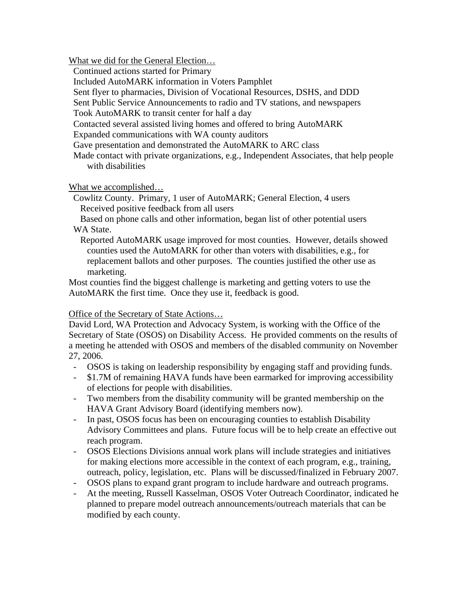What we did for the General Election…

Continued actions started for Primary

Included AutoMARK information in Voters Pamphlet

Sent flyer to pharmacies, Division of Vocational Resources, DSHS, and DDD

Sent Public Service Announcements to radio and TV stations, and newspapers

Took AutoMARK to transit center for half a day

Contacted several assisted living homes and offered to bring AutoMARK

Expanded communications with WA county auditors

Gave presentation and demonstrated the AutoMARK to ARC class

 Made contact with private organizations, e.g., Independent Associates, that help people with disabilities

What we accomplished…

 Cowlitz County. Primary, 1 user of AutoMARK; General Election, 4 users Received positive feedback from all users

 Based on phone calls and other information, began list of other potential users WA State.

 Reported AutoMARK usage improved for most counties. However, details showed counties used the AutoMARK for other than voters with disabilities, e.g., for replacement ballots and other purposes. The counties justified the other use as marketing.

Most counties find the biggest challenge is marketing and getting voters to use the AutoMARK the first time. Once they use it, feedback is good.

# Office of the Secretary of State Actions…

David Lord, WA Protection and Advocacy System, is working with the Office of the Secretary of State (OSOS) on Disability Access. He provided comments on the results of a meeting he attended with OSOS and members of the disabled community on November 27, 2006.

- OSOS is taking on leadership responsibility by engaging staff and providing funds.
- \$1.7M of remaining HAVA funds have been earmarked for improving accessibility of elections for people with disabilities.
- Two members from the disability community will be granted membership on the HAVA Grant Advisory Board (identifying members now).
- In past, OSOS focus has been on encouraging counties to establish Disability Advisory Committees and plans. Future focus will be to help create an effective out reach program.
- OSOS Elections Divisions annual work plans will include strategies and initiatives for making elections more accessible in the context of each program, e.g., training, outreach, policy, legislation, etc. Plans will be discussed/finalized in February 2007.
- OSOS plans to expand grant program to include hardware and outreach programs.
- At the meeting, Russell Kasselman, OSOS Voter Outreach Coordinator, indicated he planned to prepare model outreach announcements/outreach materials that can be modified by each county.